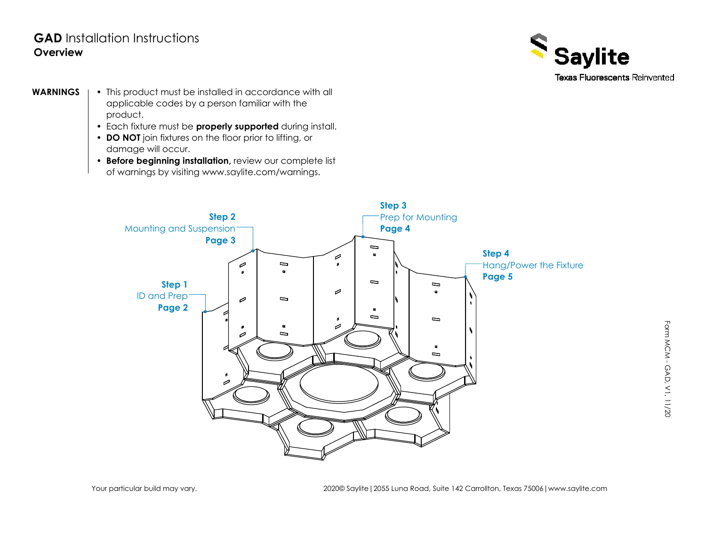## **GAD** Installation Instructions**Overview**



- This product must be installed in accordance with all applicable codes by a person familiar with the product.
	- Each fixture must be **properly supported** during install.
	- **DO NOT** join fixtures on the floor prior to lifting, or damage will occur.
	- of warnings by visiting www.saylite.com/warnings. • **Before beginning installation,** review our complete list



F o r m



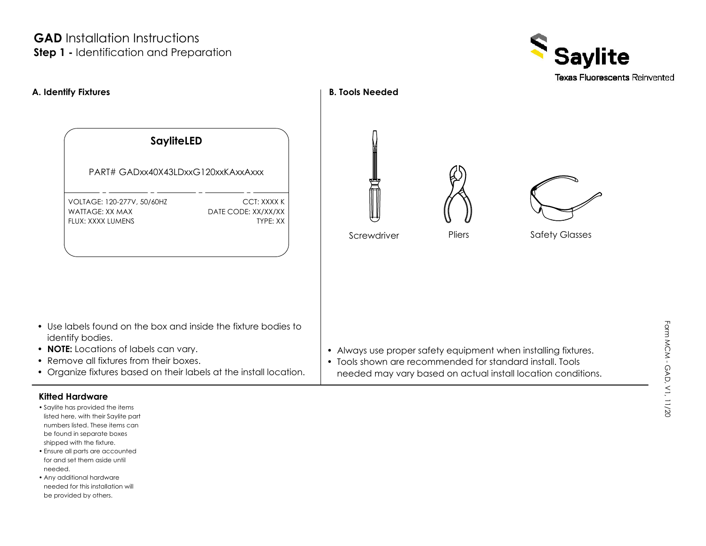## **Step 1 -** Identification and Preparation **GAD** Installation Instructions



# • Always use proper safety equipment when installing fixtures. • Tools shown are recommended for standard install. Tools **A. Identify Fixtures B. Tools Needed** VOLTAGE: 120-277V, 50/60HZ TYPE: XXPART# GADxx40X43LDxxG120xxKAxxAxxxWATTAGE: XX MAXFLUX: XXXX LUMENSneeded may vary based on actual install location conditions. CCT: XXXX KDATE CODE: XX/XX/XX **SayliteLED** • Use labels found on the box and inside the fixture bodies to identify bodies. • **NOTE:** Locations of labels can vary. • Remove all fixtures from their boxes. • Organize fixtures based on their labels at the install location. **Screwdriver** Pliers Safety Glasses

#### **Kitted Hardware**

- shipped with the fixture. be found in separate boxes • Saylite has provided the items listed here, with their Saylite part numbers listed. These items can
- Ensure all parts are accounted needed.for and set them aside until
- be provided by others. needed for this installation will • Any additional hardware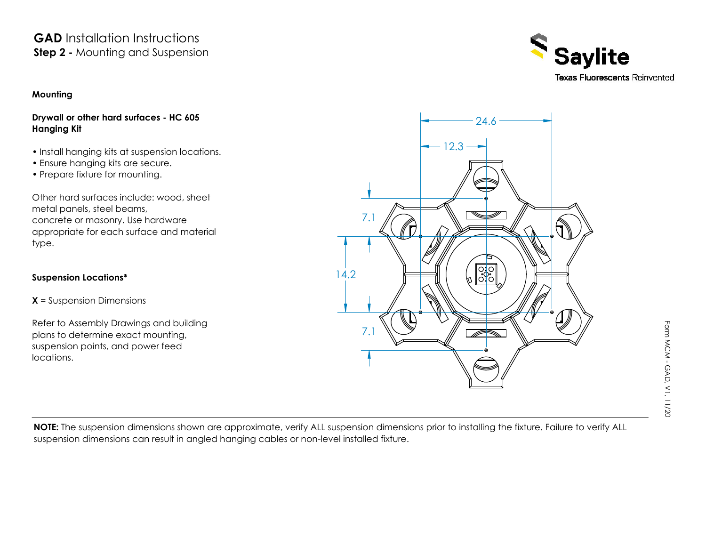## **Step 2 - Mounting and Suspension GAD** Installation Instructions

**Mounting**

#### **Drywall or other hard surfaces - HC 605 Hanging Kit**

- Install hanging kits at suspension locations.
- Ensure hanging kits are secure.
- Prepare fixture for mounting.

Other hard surfaces include: wood, sheet metal panels, steel beams, concrete or masonry. Use hardware appropriate for each surface and material type.

### **Suspension Locations\***

**X** = Suspension Dimensions

plans to determine exact mounting, suspension points, and power feed locations.Refer to Assembly Drawings and building



**NOTE:** The suspension dimensions shown are approximate, verify ALL suspension dimensions prior to installing the fixture. Failure to verify ALL suspension dimensions can result in angled hanging cables or non-level installed fixture.

MCM - GAD, V1, 11/20

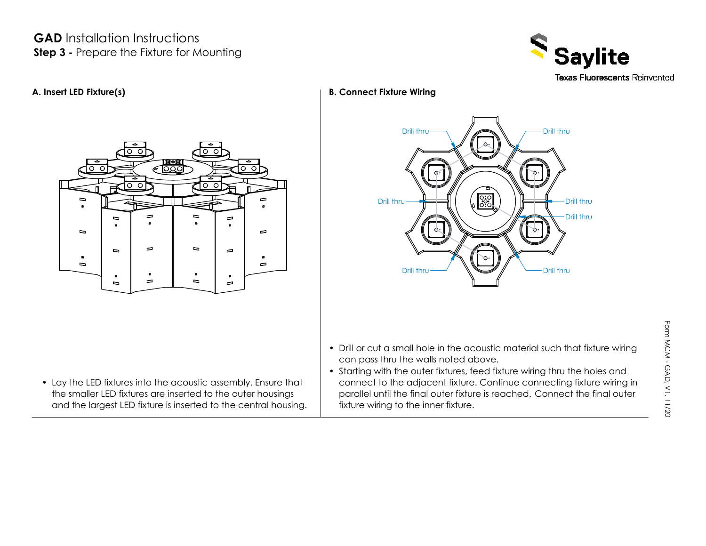## **Step 3 -** Prepare the Fixture for Mounting **GAD** Installation Instructions





• Lay the LED fixtures into the acoustic assembly. Ensure that the smaller LED fixtures are inserted to the outer housings and the largest LED fixture is inserted to the central housing.

### **A. Insert LED Fixture(s) B. Connect Fixture Wiring**



- Drill or cut a small hole in the acoustic material such that fixture wiring can pass thru the walls noted above.
- parallel until the final outer fixture is reached. Connect the final outer fixture wiring to the inner fixture. • Starting with the outer fixtures, feed fixture wiring thru the holes and connect to the adjacent fixture. Continue connecting fixture wiring in